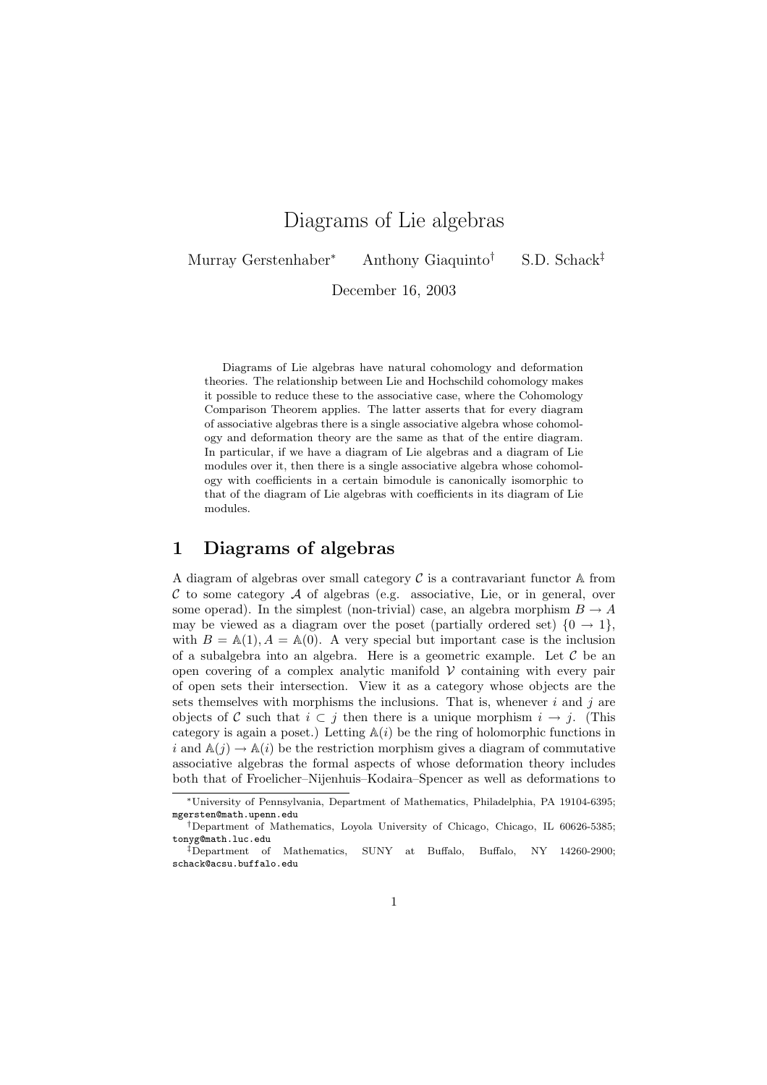# Diagrams of Lie algebras

Murray Gerstenhaber<sup>∗</sup> Anthony Giaquinto† S.D. Schack‡

December 16, 2003

Diagrams of Lie algebras have natural cohomology and deformation theories. The relationship between Lie and Hochschild cohomology makes it possible to reduce these to the associative case, where the Cohomology Comparison Theorem applies. The latter asserts that for every diagram of associative algebras there is a single associative algebra whose cohomology and deformation theory are the same as that of the entire diagram. In particular, if we have a diagram of Lie algebras and a diagram of Lie modules over it, then there is a single associative algebra whose cohomology with coefficients in a certain bimodule is canonically isomorphic to that of the diagram of Lie algebras with coefficients in its diagram of Lie modules.

### 1 Diagrams of algebras

A diagram of algebras over small category  $\mathcal C$  is a contravariant functor  $\mathbb A$  from  $C$  to some category  $A$  of algebras (e.g. associative, Lie, or in general, over some operad). In the simplest (non-trivial) case, an algebra morphism  $B \to A$ may be viewed as a diagram over the poset (partially ordered set)  $\{0 \rightarrow 1\}$ , with  $B = A(1), A = A(0)$ . A very special but important case is the inclusion of a subalgebra into an algebra. Here is a geometric example. Let  $\mathcal C$  be an open covering of a complex analytic manifold  $V$  containing with every pair of open sets their intersection. View it as a category whose objects are the sets themselves with morphisms the inclusions. That is, whenever  $i$  and  $j$  are objects of C such that  $i \subset j$  then there is a unique morphism  $i \to j$ . (This category is again a poset.) Letting  $A(i)$  be the ring of holomorphic functions in i and  $\mathbb{A}(j) \to \mathbb{A}(i)$  be the restriction morphism gives a diagram of commutative associative algebras the formal aspects of whose deformation theory includes both that of Froelicher–Nijenhuis–Kodaira–Spencer as well as deformations to

<sup>∗</sup>University of Pennsylvania, Department of Mathematics, Philadelphia, PA 19104-6395; mgersten@math.upenn.edu

<sup>†</sup>Department of Mathematics, Loyola University of Chicago, Chicago, IL 60626-5385; tonyg@math.luc.edu

<sup>‡</sup>Department of Mathematics, SUNY at Buffalo, Buffalo, NY 14260-2900; schack@acsu.buffalo.edu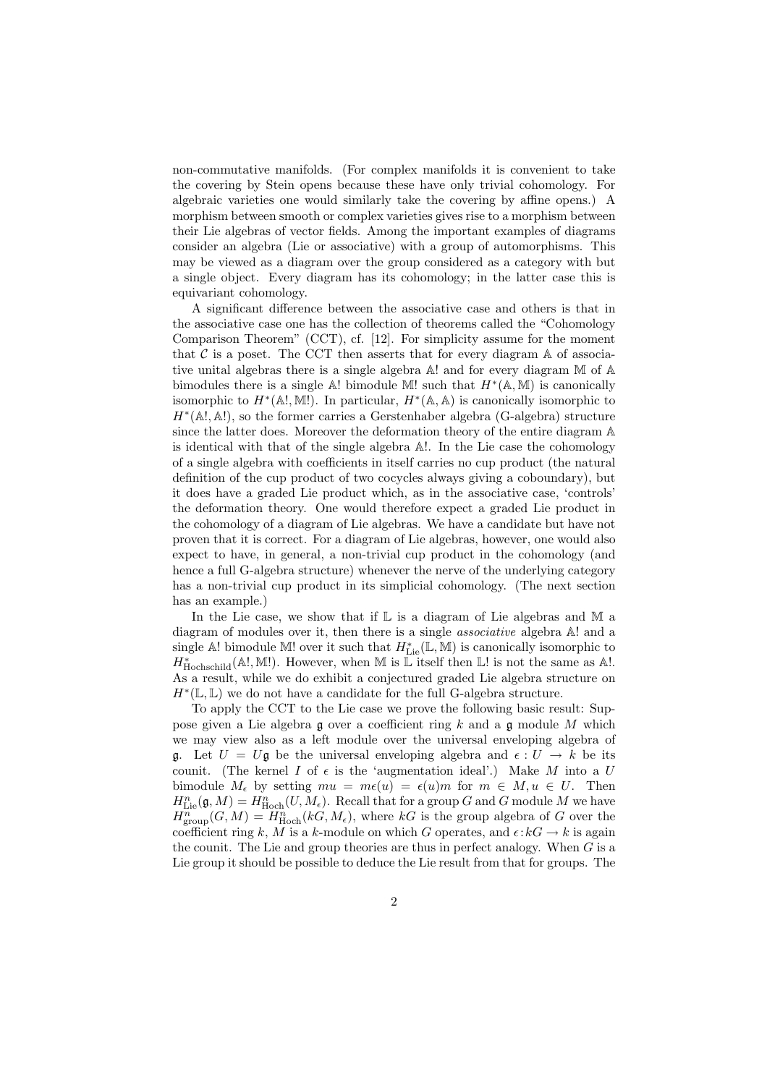non-commutative manifolds. (For complex manifolds it is convenient to take the covering by Stein opens because these have only trivial cohomology. For algebraic varieties one would similarly take the covering by affine opens.) A morphism between smooth or complex varieties gives rise to a morphism between their Lie algebras of vector fields. Among the important examples of diagrams consider an algebra (Lie or associative) with a group of automorphisms. This may be viewed as a diagram over the group considered as a category with but a single object. Every diagram has its cohomology; in the latter case this is equivariant cohomology.

A significant difference between the associative case and others is that in the associative case one has the collection of theorems called the "Cohomology Comparison Theorem" (CCT), cf. [12]. For simplicity assume for the moment that  $\mathcal C$  is a poset. The CCT then asserts that for every diagram  $\mathbb A$  of associative unital algebras there is a single algebra A! and for every diagram M of A bimodules there is a single  $\mathbb{A}!$  bimodule M! such that  $H^*(\mathbb{A}, \mathbb{M})$  is canonically isomorphic to  $H^*(\mathbb{A}!, \mathbb{M}!)$ . In particular,  $H^*(\mathbb{A}, \mathbb{A})$  is canonically isomorphic to H<sup>∗</sup> (A!, A!), so the former carries a Gerstenhaber algebra (G-algebra) structure since the latter does. Moreover the deformation theory of the entire diagram A is identical with that of the single algebra A!. In the Lie case the cohomology of a single algebra with coefficients in itself carries no cup product (the natural definition of the cup product of two cocycles always giving a coboundary), but it does have a graded Lie product which, as in the associative case, 'controls' the deformation theory. One would therefore expect a graded Lie product in the cohomology of a diagram of Lie algebras. We have a candidate but have not proven that it is correct. For a diagram of Lie algebras, however, one would also expect to have, in general, a non-trivial cup product in the cohomology (and hence a full G-algebra structure) whenever the nerve of the underlying category has a non-trivial cup product in its simplicial cohomology. (The next section has an example.)

In the Lie case, we show that if  $\mathbb L$  is a diagram of Lie algebras and  $\mathbb M$  a diagram of modules over it, then there is a single associative algebra A! and a single A! bimodule M! over it such that  $H^*_{\text{Lie}}(\mathbb{L}, \mathbb{M})$  is canonically isomorphic to  $H_{\text{Hochschild}}^*(\mathbb{A}!, \mathbb{M}!)$ . However, when  $\mathbb M$  is  $\mathbb L$  itself then  $\mathbb L!$  is not the same as  $\mathbb A!$ . As a result, while we do exhibit a conjectured graded Lie algebra structure on  $H^*(\mathbb{L}, \mathbb{L})$  we do not have a candidate for the full G-algebra structure.

To apply the CCT to the Lie case we prove the following basic result: Suppose given a Lie algebra  $\mathfrak g$  over a coefficient ring  $k$  and a  $\mathfrak g$  module  $M$  which we may view also as a left module over the universal enveloping algebra of g. Let  $U = U$ g be the universal enveloping algebra and  $\epsilon : U \to k$  be its counit. (The kernel  $I$  of  $\epsilon$  is the 'augmentation ideal'.) Make  $M$  into a  $U$ bimodule  $M_{\epsilon}$  by setting  $mu = m\epsilon(u) = \epsilon(u)m$  for  $m \in M, u \in U$ . Then  $H_{\mathrm{Lie}}^n(\mathfrak{g},M)=H_{\mathrm{Hoch}}^n(U,M_\epsilon).$  Recall that for a group G and G module M we have  $H^{\overline{n}}_{\text{group}}(G,M) = H^n_{\text{Hoch}}(kG,M_{\epsilon}),$  where  $kG$  is the group algebra of G over the coefficient ring k, M is a k-module on which G operates, and  $\epsilon : kG \to k$  is again the counit. The Lie and group theories are thus in perfect analogy. When G is a Lie group it should be possible to deduce the Lie result from that for groups. The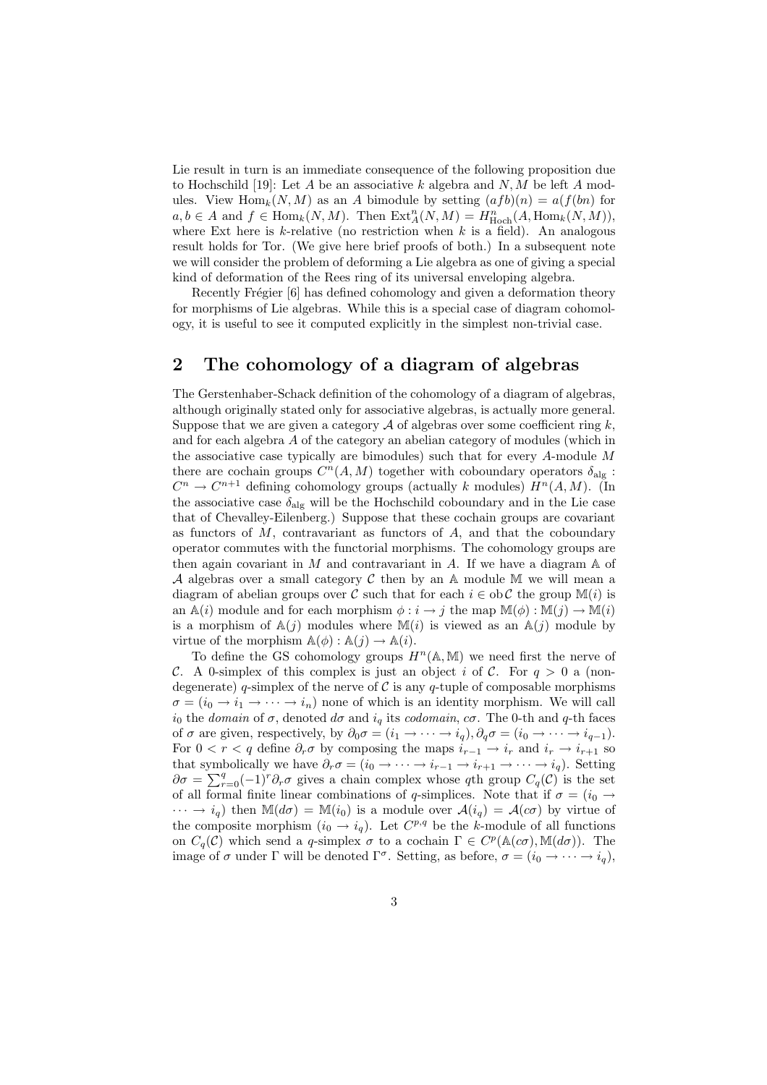Lie result in turn is an immediate consequence of the following proposition due to Hochschild [19]: Let A be an associative k algebra and  $N, M$  be left A modules. View  $\text{Hom}_k(N, M)$  as an A bimodule by setting  $(afb)(n) = a(f(bn))$  for  $a, b \in A$  and  $f \in \text{Hom}_k(N, M)$ . Then  $\text{Ext}^n_A(N, M) = H^n_{\text{Hoch}}(A, \text{Hom}_k(N, M)),$ where Ext here is  $k$ -relative (no restriction when  $k$  is a field). An analogous result holds for Tor. (We give here brief proofs of both.) In a subsequent note we will consider the problem of deforming a Lie algebra as one of giving a special kind of deformation of the Rees ring of its universal enveloping algebra.

Recently Frégier [6] has defined cohomology and given a deformation theory for morphisms of Lie algebras. While this is a special case of diagram cohomology, it is useful to see it computed explicitly in the simplest non-trivial case.

### 2 The cohomology of a diagram of algebras

The Gerstenhaber-Schack definition of the cohomology of a diagram of algebras, although originally stated only for associative algebras, is actually more general. Suppose that we are given a category  $A$  of algebras over some coefficient ring  $k$ , and for each algebra A of the category an abelian category of modules (which in the associative case typically are bimodules) such that for every  $A$ -module  $M$ there are cochain groups  $C^n(A, M)$  together with coboundary operators  $\delta_{\text{alg}}$ :  $C^n \to C^{n+1}$  defining cohomology groups (actually k modules)  $H^n(A, M)$ . (In the associative case  $\delta_{\text{alg}}$  will be the Hochschild coboundary and in the Lie case that of Chevalley-Eilenberg.) Suppose that these cochain groups are covariant as functors of  $M$ , contravariant as functors of  $A$ , and that the coboundary operator commutes with the functorial morphisms. The cohomology groups are then again covariant in  $M$  and contravariant in  $A$ . If we have a diagram  $A$  of A algebras over a small category C then by an  $A$  module M we will mean a diagram of abelian groups over C such that for each  $i \in \text{ob } C$  the group  $\mathbb{M}(i)$  is an  $\mathbb{A}(i)$  module and for each morphism  $\phi : i \to j$  the map  $\mathbb{M}(\phi) : \mathbb{M}(j) \to \mathbb{M}(i)$ is a morphism of  $A(j)$  modules where  $M(i)$  is viewed as an  $A(j)$  module by virtue of the morphism  $\mathbb{A}(\phi) : \mathbb{A}(j) \to \mathbb{A}(i)$ .

To define the GS cohomology groups  $H^n(\mathbb{A}, \mathbb{M})$  we need first the nerve of C. A 0-simplex of this complex is just an object i of C. For  $q > 0$  a (nondegenerate) q-simplex of the nerve of  $\mathcal C$  is any q-tuple of composable morphisms  $\sigma = (i_0 \to i_1 \to \cdots \to i_n)$  none of which is an identity morphism. We will call  $i_0$  the domain of  $\sigma$ , denoted  $d\sigma$  and  $i_q$  its codomain,  $c\sigma$ . The 0-th and q-th faces of  $\sigma$  are given, respectively, by  $\partial_0 \sigma = (i_1 \to \cdots \to i_q), \partial_q \sigma = (i_0 \to \cdots \to i_{q-1}).$ For  $0 < r < q$  define  $\partial_r \sigma$  by composing the maps  $i_{r-1} \to i_r$  and  $i_r \to i_{r+1}$  so that symbolically we have  $\partial_r \sigma = (i_0 \to \cdots \to i_{r-1} \to i_{r+1} \to \cdots \to i_q)$ . Setting  $\partial \sigma = \sum_{r=0}^q (-1)^r \partial_r \sigma$  gives a chain complex whose qth group  $C_q(\mathcal{C})$  is the set of all formal finite linear combinations of q-simplices. Note that if  $\sigma = (i_0 \rightarrow$  $\cdots \rightarrow i_q$ ) then  $\mathbb{M}(d\sigma) = \mathbb{M}(i_0)$  is a module over  $\mathcal{A}(i_q) = \mathcal{A}(c\sigma)$  by virtue of the composite morphism  $(i_0 \rightarrow i_q)$ . Let  $C^{p,q}$  be the k-module of all functions on  $C_q(\mathcal{C})$  which send a q-simplex  $\sigma$  to a cochain  $\Gamma \in C^p(\mathbb{A}(\alpha\sigma), \mathbb{M}(d\sigma))$ . The image of  $\sigma$  under  $\Gamma$  will be denoted  $\Gamma^{\sigma}$ . Setting, as before,  $\sigma = (i_0 \to \cdots \to i_q)$ ,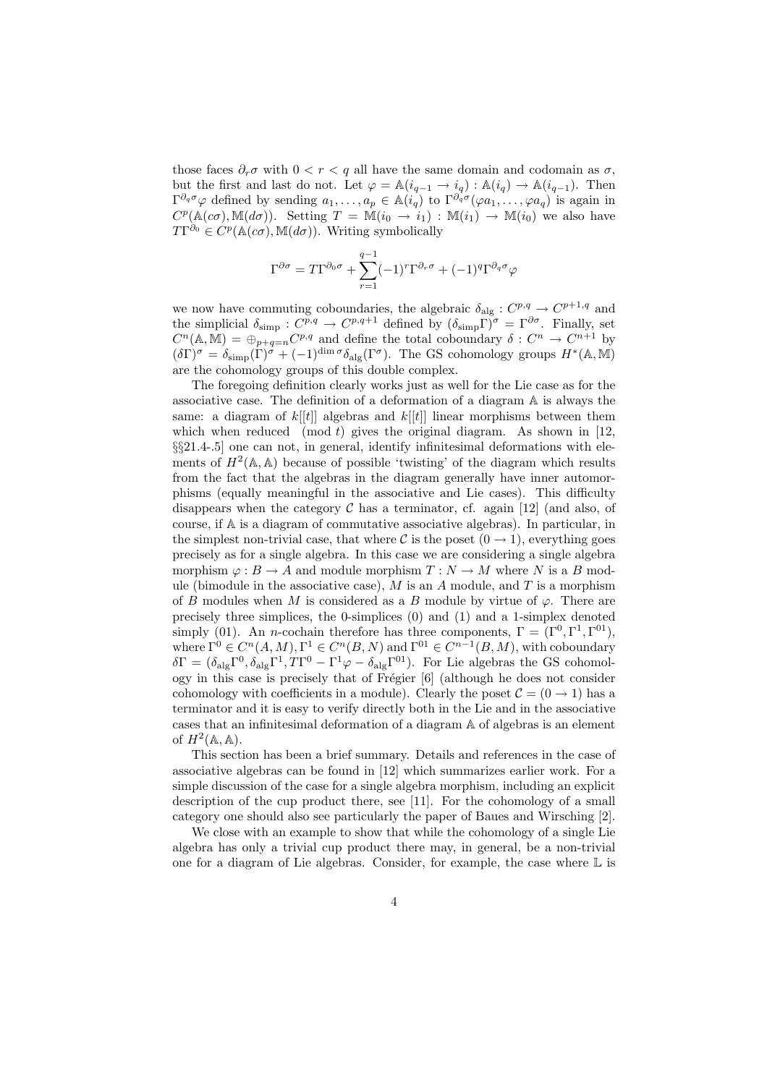those faces  $\partial_r \sigma$  with  $0 < r < q$  all have the same domain and codomain as  $\sigma$ , but the first and last do not. Let  $\varphi = \mathbb{A}(i_{q-1} \to i_q) : \mathbb{A}(i_q) \to \mathbb{A}(i_{q-1})$ . Then  $\Gamma^{\partial_q\sigma}\varphi$  defined by sending  $a_1,\ldots,a_p\in \mathbb{A}(i_q)$  to  $\Gamma^{\partial_q\sigma}(\varphi a_1,\ldots,\varphi a_q)$  is again in  $C^p(\mathbb{A}(c\sigma), \mathbb{M}(d\sigma)).$  Setting  $T = \mathbb{M}(i_0 \to i_1) : \mathbb{M}(i_1) \to \mathbb{M}(i_0)$  we also have  $T\Gamma^{\partial_0} \in C^p(\mathbb{A}(c\sigma), \mathbb{M}(d\sigma)).$  Writing symbolically

$$
\Gamma^{\partial \sigma} = T\Gamma^{\partial_0 \sigma} + \sum_{r=1}^{q-1} (-1)^r \Gamma^{\partial_r \sigma} + (-1)^q \Gamma^{\partial_q \sigma} \varphi
$$

we now have commuting coboundaries, the algebraic  $\delta_{\text{alg}}: C^{p,q} \to C^{p+1,q}$  and the simplicial  $\delta_{\text{simp}}: C^{p,q} \to C^{p,q+1}$  defined by  $(\delta_{\text{simp}} \Gamma)^{\sigma} = \Gamma^{\partial \sigma}$ . Finally, set  $C^n(\mathbb{A}, \mathbb{M}) = \bigoplus_{p+q=n} C^{p,q}$  and define the total coboundary  $\delta: C^n \to C^{n+1}$  by  $(\delta \Gamma)^\sigma = \delta_{\text{simp}}(\Gamma)^\sigma + (-1)^{\dim \sigma} \delta_{\text{alg}}(\Gamma^\sigma)$ . The GS cohomology groups  $H^*(\mathbb{A}, \mathbb{M})$ are the cohomology groups of this double complex.

The foregoing definition clearly works just as well for the Lie case as for the associative case. The definition of a deformation of a diagram A is always the same: a diagram of  $k[[t]]$  algebras and  $k[[t]]$  linear morphisms between them which when reduced (mod  $t$ ) gives the original diagram. As shown in [12, §§21.4-.5] one can not, in general, identify infinitesimal deformations with elements of  $H^2(\mathbb{A}, \mathbb{A})$  because of possible 'twisting' of the diagram which results from the fact that the algebras in the diagram generally have inner automorphisms (equally meaningful in the associative and Lie cases). This difficulty disappears when the category  $\mathcal C$  has a terminator, cf. again [12] (and also, of course, if A is a diagram of commutative associative algebras). In particular, in the simplest non-trivial case, that where C is the poset  $(0 \rightarrow 1)$ , everything goes precisely as for a single algebra. In this case we are considering a single algebra morphism  $\varphi : B \to A$  and module morphism  $T : N \to M$  where N is a B module (bimodule in the associative case),  $M$  is an  $A$  module, and  $T$  is a morphism of B modules when M is considered as a B module by virtue of  $\varphi$ . There are precisely three simplices, the 0-simplices (0) and (1) and a 1-simplex denoted simply (01). An *n*-cochain therefore has three components,  $\Gamma = (\Gamma^0, \Gamma^1, \Gamma^{01})$ , where  $\Gamma^0 \in C^n(A, M)$ ,  $\Gamma^1 \in C^n(B, N)$  and  $\Gamma^{01} \in C^{n-1}(B, M)$ , with coboundary  $\delta\Gamma = (\delta_{\rm alg}\Gamma^0, \delta_{\rm alg}\Gamma^1, T\Gamma^0 - \Gamma^1\varphi - \delta_{\rm alg}\Gamma^{01}).$  For Lie algebras the GS cohomology in this case is precisely that of Frégier [6] (although he does not consider cohomology with coefficients in a module). Clearly the poset  $C = (0 \rightarrow 1)$  has a terminator and it is easy to verify directly both in the Lie and in the associative cases that an infinitesimal deformation of a diagram A of algebras is an element of  $H^2(\mathbb{A}, \mathbb{A})$ .

This section has been a brief summary. Details and references in the case of associative algebras can be found in [12] which summarizes earlier work. For a simple discussion of the case for a single algebra morphism, including an explicit description of the cup product there, see [11]. For the cohomology of a small category one should also see particularly the paper of Baues and Wirsching [2].

We close with an example to show that while the cohomology of a single Lie algebra has only a trivial cup product there may, in general, be a non-trivial one for a diagram of Lie algebras. Consider, for example, the case where  $\mathbb L$  is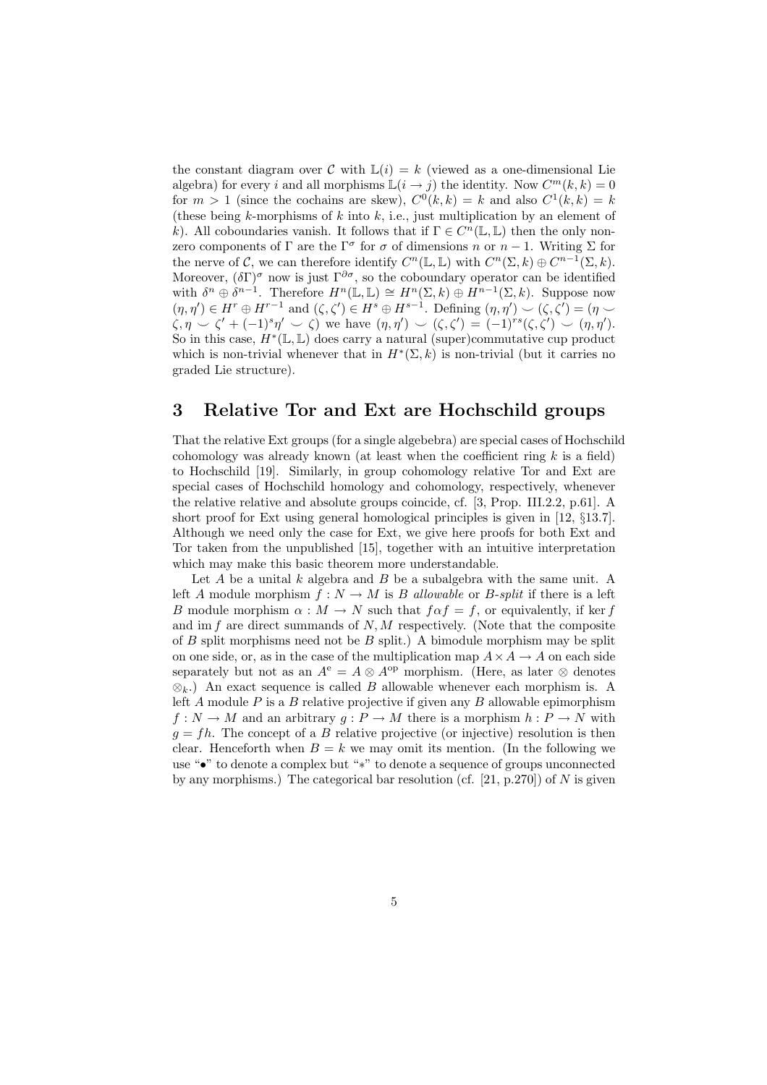the constant diagram over C with  $\mathbb{L}(i) = k$  (viewed as a one-dimensional Lie algebra) for every i and all morphisms  $\mathbb{L}(i \to j)$  the identity. Now  $C^m(k, k) = 0$ for  $m > 1$  (since the cochains are skew),  $C^{0}(k, k) = k$  and also  $C^{1}(k, k) = k$ (these being k-morphisms of k into k, i.e., just multiplication by an element of k). All coboundaries vanish. It follows that if  $\Gamma \in C^n(\mathbb{L}, \mathbb{L})$  then the only nonzero components of  $\Gamma$  are the  $\Gamma^{\sigma}$  for  $\sigma$  of dimensions n or  $n-1$ . Writing  $\Sigma$  for the nerve of C, we can therefore identify  $C^n(\mathbb{L}, \mathbb{L})$  with  $C^n(\Sigma, k) \oplus C^{n-1}(\Sigma, k)$ . Moreover,  $(\delta \Gamma)^\sigma$  now is just  $\Gamma^{\partial \sigma}$ , so the coboundary operator can be identified with  $\delta^n \oplus \delta^{n-1}$ . Therefore  $H^n(\mathbb{L}, \mathbb{L}) \cong H^n(\Sigma, k) \oplus H^{n-1}(\Sigma, k)$ . Suppose now  $(\eta, \eta') \in H^r \oplus H^{r-1}$  and  $(\zeta, \zeta') \in H^s \oplus H^{s-1}$ . Defining  $(\eta, \eta') \backsim (\zeta, \zeta') = (\eta \backsim$  $\zeta, \eta \smile \zeta' + (-1)^s \eta' \smile \zeta$  we have  $(\eta, \eta') \smile (\zeta, \zeta') = (-1)^{rs}(\zeta, \zeta') \smile (\eta, \eta').$ So in this case,  $H^*(\mathbb{L}, \mathbb{L})$  does carry a natural (super)commutative cup product which is non-trivial whenever that in  $H^*(\Sigma, k)$  is non-trivial (but it carries no graded Lie structure).

#### 3 Relative Tor and Ext are Hochschild groups

That the relative Ext groups (for a single algebebra) are special cases of Hochschild cohomology was already known (at least when the coefficient ring  $k$  is a field) to Hochschild [19]. Similarly, in group cohomology relative Tor and Ext are special cases of Hochschild homology and cohomology, respectively, whenever the relative relative and absolute groups coincide, cf. [3, Prop. III.2.2, p.61]. A short proof for Ext using general homological principles is given in [12, §13.7]. Although we need only the case for Ext, we give here proofs for both Ext and Tor taken from the unpublished [15], together with an intuitive interpretation which may make this basic theorem more understandable.

Let  $A$  be a unital  $k$  algebra and  $B$  be a subalgebra with the same unit. A left A module morphism  $f: N \to M$  is B allowable or B-split if there is a left B module morphism  $\alpha : M \to N$  such that  $f \alpha f = f$ , or equivalently, if ker f and im  $f$  are direct summands of  $N, M$  respectively. (Note that the composite of  $B$  split morphisms need not be  $B$  split.) A bimodule morphism may be split on one side, or, as in the case of the multiplication map  $A \times A \rightarrow A$  on each side separately but not as an  $A^e = A \otimes A^{op}$  morphism. (Here, as later  $\otimes$  denotes  $\otimes_k$ .) An exact sequence is called B allowable whenever each morphism is. A left A module  $P$  is a  $B$  relative projective if given any  $B$  allowable epimorphism  $f: N \to M$  and an arbitrary  $g: P \to M$  there is a morphism  $h: P \to N$  with  $q = fh$ . The concept of a B relative projective (or injective) resolution is then clear. Henceforth when  $B = k$  we may omit its mention. (In the following we use "•" to denote a complex but "∗" to denote a sequence of groups unconnected by any morphisms.) The categorical bar resolution (cf.  $[21, p.270]$ ) of N is given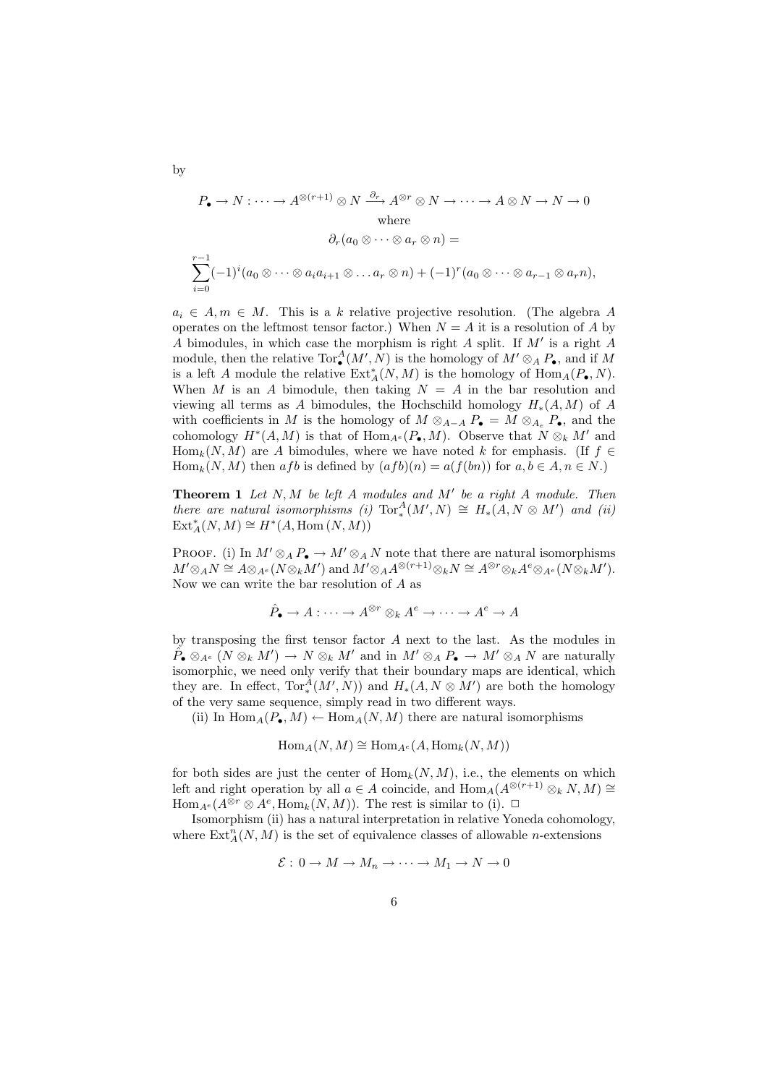$$
P_{\bullet} \to N : \cdots \to A^{\otimes (r+1)} \otimes N \xrightarrow{\partial_r} A^{\otimes r} \otimes N \to \cdots \to A \otimes N \to N \to 0
$$
  
where  

$$
\partial_r (a_0 \otimes \cdots \otimes a_r \otimes n) =
$$

$$
\sum_{i=0}^{r-1} (-1)^i (a_0 \otimes \cdots \otimes a_i a_{i+1} \otimes \cdots a_r \otimes n) + (-1)^r (a_0 \otimes \cdots \otimes a_{r-1} \otimes a_r n),
$$

 $a_i \in A, m \in M$ . This is a k relative projective resolution. (The algebra A operates on the leftmost tensor factor.) When  $N = A$  it is a resolution of A by A bimodules, in which case the morphism is right  $A$  split. If  $M'$  is a right  $A$ module, then the relative  $\operatorname{Tor}^A_\bullet(M',N)$  is the homology of  $M'\otimes_A P_\bullet$ , and if M is a left A module the relative  $\operatorname{Ext}_{A}^{*}(N, M)$  is the homology of  $\operatorname{Hom}_{A}(P_{\bullet}, N)$ . When M is an A bimodule, then taking  $N = A$  in the bar resolution and viewing all terms as A bimodules, the Hochschild homology  $H_*(A, M)$  of A with coefficients in M is the homology of  $M \otimes_{A-A} P_{\bullet} = M \otimes_{A_e} P_{\bullet}$ , and the cohomology  $H^*(A, M)$  is that of  $\text{Hom}_{A^e}(P_{\bullet}, M)$ . Observe that  $N \otimes_k M'$  and  $\text{Hom}_k(N, M)$  are A bimodules, where we have noted k for emphasis. (If  $f \in$  $\text{Hom}_k(N, M)$  then afb is defined by  $(afb)(n) = a(f(bn))$  for  $a, b \in A, n \in N$ .

**Theorem 1** Let  $N, M$  be left  $A$  modules and  $M'$  be a right  $A$  module. Then there are natural isomorphisms (i)  $Tor_*^A(M',N) \cong H_*(A,N \otimes M')$  and (ii)  $\operatorname{Ext}^*_A(N,M) \cong H^*(A,\operatorname{Hom}(N,M))$ 

PROOF. (i) In  $M' \otimes_A P_{\bullet} \to M' \otimes_A N$  note that there are natural isomorphisms  $M'\otimes_A N \cong A\otimes_{A^e} (N\otimes_k M')$  and  $M'\otimes_A A^{\otimes (r+1)} \otimes_k N \cong A^{\otimes r} \otimes_k A^e \otimes_{A^e} (N\otimes_k M').$ Now we can write the bar resolution of  $A$  as

$$
\hat{P}_{\bullet} \to A : \cdots \to A^{\otimes r} \otimes_k A^e \to \cdots \to A^e \to A
$$

by transposing the first tensor factor A next to the last. As the modules in  $\tilde{P}_{\bullet} \otimes_{A^e} (N \otimes_k M') \to N \otimes_k M'$  and in  $M' \otimes_A P_{\bullet} \to M' \otimes_A N$  are naturally isomorphic, we need only verify that their boundary maps are identical, which they are. In effect,  $Tor_*^{\tilde{A}}(M',N)$  and  $H_*(A, N \otimes M')$  are both the homology of the very same sequence, simply read in two different ways.

(ii) In  $\text{Hom}_{A}(P_{\bullet}, M) \leftarrow \text{Hom}_{A}(N, M)$  there are natural isomorphisms

$$
\operatorname{Hom}_A(N,M) \cong \operatorname{Hom}_{A^e}(A, \operatorname{Hom}_k(N,M))
$$

for both sides are just the center of  $\text{Hom}_k(N, M)$ , i.e., the elements on which left and right operation by all  $a \in A$  coincide, and  $\text{Hom}_{A}(A^{\otimes (r+1)} \otimes_{k} N, M) \cong$  $\text{Hom}_{A^e}(A^{\otimes r} \otimes A^e, \text{Hom}_k(N, M)).$  The rest is similar to (i).  $\Box$ 

Isomorphism (ii) has a natural interpretation in relative Yoneda cohomology, where  $\text{Ext}_{A}^{n}(N, M)$  is the set of equivalence classes of allowable *n*-extensions

$$
\mathcal{E}: 0 \to M \to M_n \to \cdots \to M_1 \to N \to 0
$$

6

by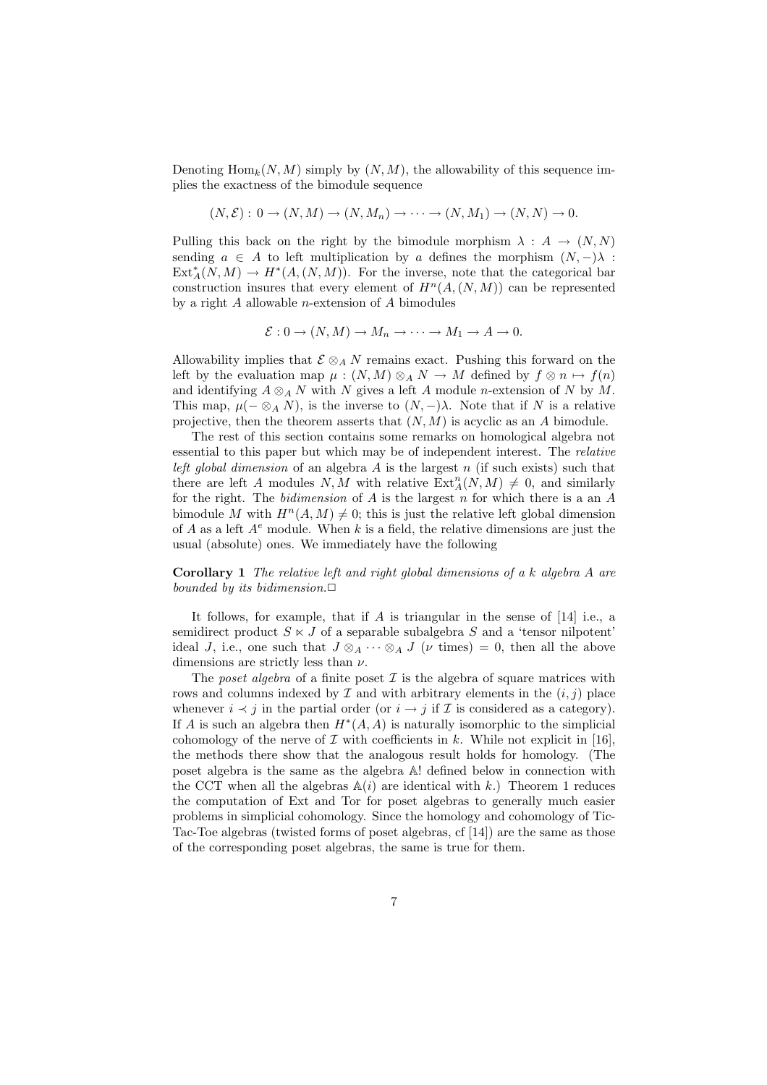Denoting  $\text{Hom}_{k}(N, M)$  simply by  $(N, M)$ , the allowability of this sequence implies the exactness of the bimodule sequence

$$
(N, \mathcal{E}): 0 \to (N, M) \to (N, M_n) \to \cdots \to (N, M_1) \to (N, N) \to 0.
$$

Pulling this back on the right by the bimodule morphism  $\lambda : A \rightarrow (N, N)$ sending  $a \in A$  to left multiplication by a defines the morphism  $(N, -)$ λ:  $\text{Ext}_{A}^{*}(N, M) \to H^{*}(A, (N, M)).$  For the inverse, note that the categorical bar construction insures that every element of  $H^n(A,(N,M))$  can be represented by a right  $A$  allowable *n*-extension of  $A$  bimodules

$$
\mathcal{E}: 0 \to (N, M) \to M_n \to \cdots \to M_1 \to A \to 0.
$$

Allowability implies that  $\mathcal{E} \otimes_A N$  remains exact. Pushing this forward on the left by the evaluation map  $\mu : (N, M) \otimes_A N \to M$  defined by  $f \otimes n \mapsto f(n)$ and identifying  $A \otimes_A N$  with N gives a left A module n-extension of N by M. This map,  $\mu(-\otimes_A N)$ , is the inverse to  $(N, -)\lambda$ . Note that if N is a relative projective, then the theorem asserts that  $(N, M)$  is acyclic as an A bimodule.

The rest of this section contains some remarks on homological algebra not essential to this paper but which may be of independent interest. The relative left global dimension of an algebra  $A$  is the largest  $n$  (if such exists) such that there are left A modules  $N, M$  with relative  $\operatorname{Ext}_A^n(N, M) \neq 0$ , and similarly for the right. The *bidimension* of  $A$  is the largest  $n$  for which there is a an  $A$ bimodule M with  $H^n(A, M) \neq 0$ ; this is just the relative left global dimension of A as a left  $A^e$  module. When k is a field, the relative dimensions are just the usual (absolute) ones. We immediately have the following

Corollary 1 The relative left and right global dimensions of a k algebra A are bounded by its bidimension. $\Box$ 

It follows, for example, that if  $A$  is triangular in the sense of  $[14]$  i.e., a semidirect product  $S \times J$  of a separable subalgebra S and a 'tensor nilpotent' ideal J, i.e., one such that  $J \otimes_A \cdots \otimes_A J$  ( $\nu$  times) = 0, then all the above dimensions are strictly less than  $\nu.$ 

The poset algebra of a finite poset  $\mathcal I$  is the algebra of square matrices with rows and columns indexed by  $\mathcal I$  and with arbitrary elements in the  $(i, j)$  place whenever  $i \prec j$  in the partial order (or  $i \rightarrow j$  if  $\mathcal I$  is considered as a category). If A is such an algebra then  $H^*(A, A)$  is naturally isomorphic to the simplicial cohomology of the nerve of  $\mathcal I$  with coefficients in k. While not explicit in [16], the methods there show that the analogous result holds for homology. (The poset algebra is the same as the algebra A! defined below in connection with the CCT when all the algebras  $A(i)$  are identical with k.) Theorem 1 reduces the computation of Ext and Tor for poset algebras to generally much easier problems in simplicial cohomology. Since the homology and cohomology of Tic-Tac-Toe algebras (twisted forms of poset algebras, cf [14]) are the same as those of the corresponding poset algebras, the same is true for them.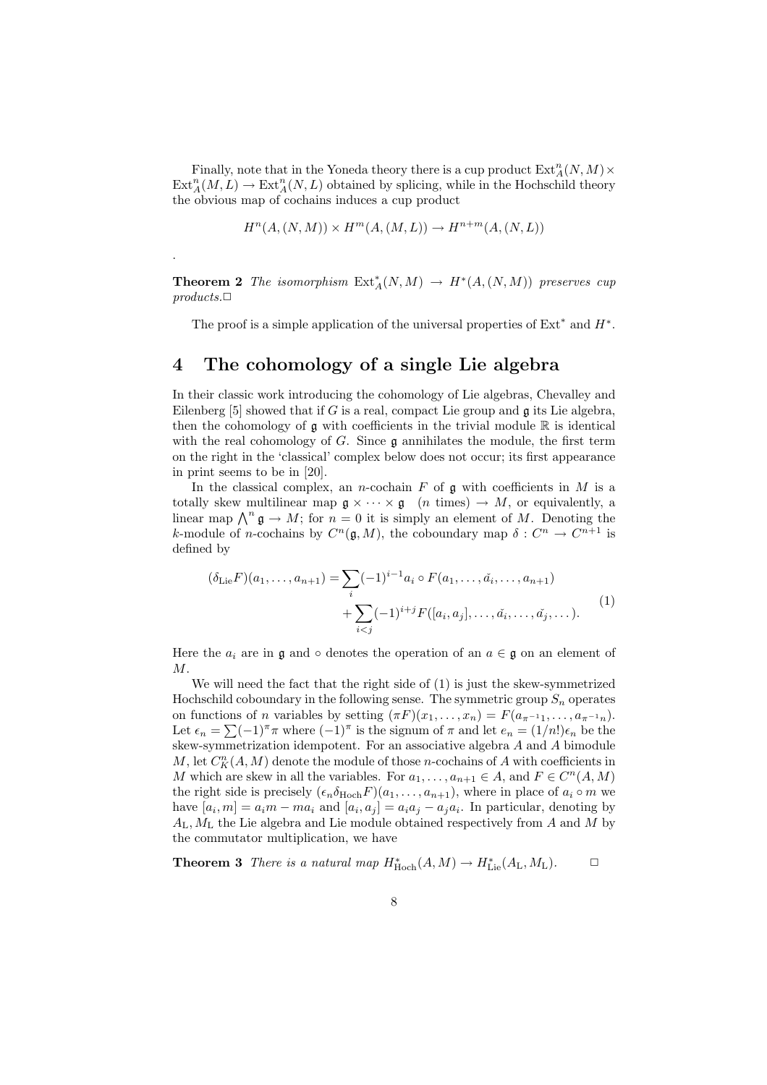Finally, note that in the Yoneda theory there is a cup product  $\operatorname{Ext}^n_A(N,M) \times$  $\text{Ext}_{A}^{n}(M, L) \to \text{Ext}_{A}^{n}(N, L)$  obtained by splicing, while in the Hochschild theory the obvious map of cochains induces a cup product

$$
H^n(A, (N, M)) \times H^m(A, (M, L)) \to H^{n+m}(A, (N, L))
$$

**Theorem 2** The isomorphism  $\text{Ext}_{A}^{*}(N, M) \rightarrow H^{*}(A, (N, M))$  preserves cup  $products.\Box$ 

The proof is a simple application of the universal properties of  $Ext<sup>*</sup>$  and  $H<sup>*</sup>$ .

#### 4 The cohomology of a single Lie algebra

.

In their classic work introducing the cohomology of Lie algebras, Chevalley and Eilenberg [5] showed that if G is a real, compact Lie group and  $\mathfrak g$  its Lie algebra, then the cohomology of  $\mathfrak g$  with coefficients in the trivial module  $\mathbb R$  is identical with the real cohomology of  $G$ . Since  $\mathfrak g$  annihilates the module, the first term on the right in the 'classical' complex below does not occur; its first appearance in print seems to be in [20].

In the classical complex, an *n*-cochain  $F$  of  $\mathfrak g$  with coefficients in  $M$  is a totally skew multilinear map  $\mathfrak{g} \times \cdots \times \mathfrak{g}$  (*n* times)  $\rightarrow M$ , or equivalently, a lotally skew multimear map  $\mathfrak{g} \times \cdots \times \mathfrak{g}$  (*n* times)  $\rightarrow M$ , or equivalently, a linear map  $\bigwedge^n \mathfrak{g} \rightarrow M$ ; for  $n = 0$  it is simply an element of M. Denoting the k-module of *n*-cochains by  $C^n(\mathfrak{g}, M)$ , the coboundary map  $\delta: C^n \to C^{n+1}$  is defined by

$$
(\delta_{\text{Lie}}F)(a_1, \dots, a_{n+1}) = \sum_i (-1)^{i-1} a_i \circ F(a_1, \dots, \check{a}_i, \dots, a_{n+1}) + \sum_{i < j} (-1)^{i+j} F([a_i, a_j], \dots, \check{a}_i, \dots, \check{a}_j, \dots).
$$
\n<sup>(1)</sup>

Here the  $a_i$  are in g and ∘ denotes the operation of an  $a \in \mathfrak{g}$  on an element of M.

We will need the fact that the right side of (1) is just the skew-symmetrized Hochschild coboundary in the following sense. The symmetric group  $S_n$  operates on functions of *n* variables by setting  $(\pi F)(x_1, \ldots, x_n) = F(a_{\pi^{-1}1}, \ldots, a_{\pi^{-1}n}).$ on functions of *n* variables by setting  $(\pi F)(x_1, \ldots, x_n) = F(a_{\pi^{-1}1}, \ldots, a_{\pi^{-1}n})$ .<br>Let  $\epsilon_n = \sum (-1)^{\pi} \pi$  where  $(-1)^{\pi}$  is the signum of  $\pi$  and let  $e_n = (1/n!) \epsilon_n$  be the skew-symmetrization idempotent. For an associative algebra  ${\cal A}$  and  ${\cal A}$  bimodule  $M$ , let  $C_K^n(A, M)$  denote the module of those *n*-cochains of  $A$  with coefficients in M which are skew in all the variables. For  $a_1, \ldots, a_{n+1} \in A$ , and  $F \in C^n(A, M)$ the right side is precisely  $(\epsilon_n \delta_{\text{Hoch}} F)(a_1, \ldots, a_{n+1})$ , where in place of  $a_i \circ m$  we have  $[a_i, m] = a_i m - m a_i$  and  $[a_i, a_j] = a_i a_j - a_j a_i$ . In particular, denoting by  $A_L$ ,  $M_L$  the Lie algebra and Lie module obtained respectively from  $A$  and  $M$  by the commutator multiplication, we have

**Theorem 3** There is a natural map  $H^*_{\text{Hoch}}(A, M) \to H^*_{\text{Lie}}(A_{\text{L}}, M_{\text{L}})$ .  $\Box$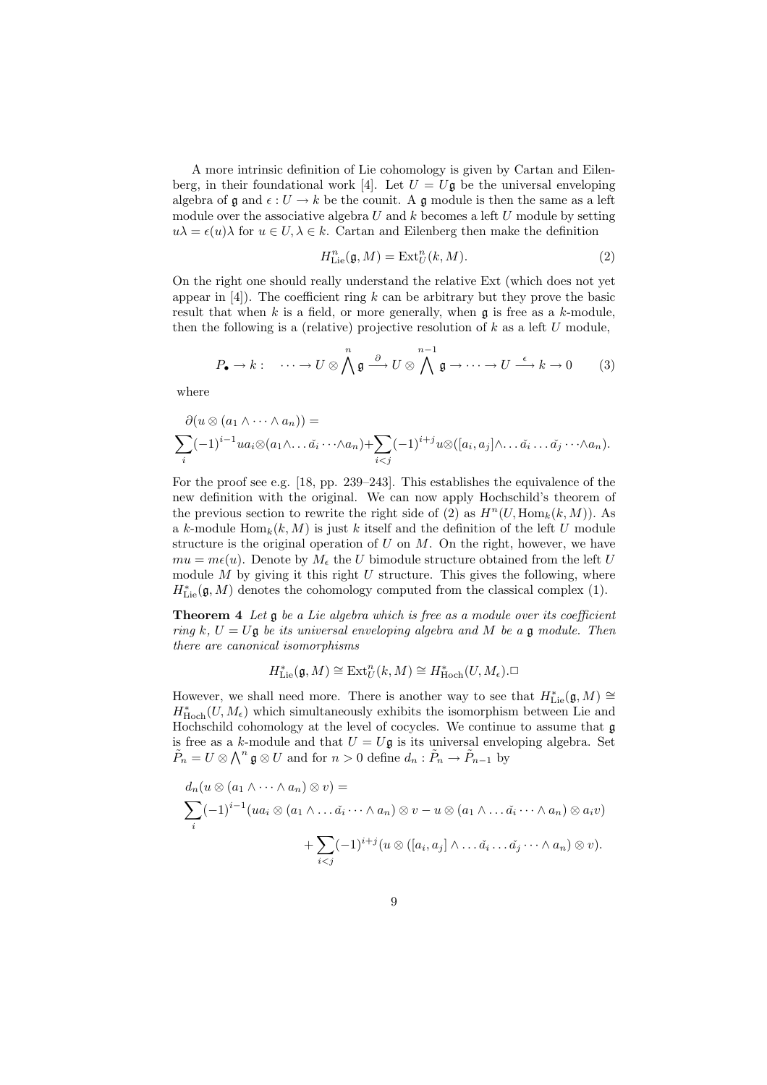A more intrinsic definition of Lie cohomology is given by Cartan and Eilenberg, in their foundational work [4]. Let  $U = U\mathfrak{g}$  be the universal enveloping algebra of  $\mathfrak g$  and  $\epsilon: U \to k$  be the counit. A  $\mathfrak g$  module is then the same as a left module over the associative algebra  $U$  and  $k$  becomes a left  $U$  module by setting  $u\lambda = \epsilon(u)\lambda$  for  $u \in U, \lambda \in k$ . Cartan and Eilenberg then make the definition

$$
H_{\text{Lie}}^n(\mathfrak{g}, M) = \text{Ext}_U^n(k, M). \tag{2}
$$

On the right one should really understand the relative Ext (which does not yet appear in  $[4]$ ). The coefficient ring k can be arbitrary but they prove the basic result that when  $k$  is a field, or more generally, when  $\mathfrak g$  is free as a  $k$ -module, then the following is a (relative) projective resolution of  $k$  as a left  $U$  module,

$$
P_{\bullet} \to k: \quad \cdots \to U \otimes \bigwedge^{n} \mathfrak{g} \stackrel{\partial}{\longrightarrow} U \otimes \bigwedge^{n-1} \mathfrak{g} \to \cdots \to U \stackrel{\epsilon}{\longrightarrow} k \to 0 \qquad (3)
$$

where

$$
\partial(u \otimes (a_1 \wedge \cdots \wedge a_n)) =
$$
  

$$
\sum_i (-1)^{i-1} u a_i \otimes (a_1 \wedge \cdots \tilde{a}_i \cdots \wedge a_n) + \sum_{i < j} (-1)^{i+j} u \otimes ([a_i, a_j] \wedge \cdots \tilde{a}_i \cdots \tilde{a}_j \cdots \wedge a_n).
$$

For the proof see e.g. [18, pp. 239–243]. This establishes the equivalence of the new definition with the original. We can now apply Hochschild's theorem of the previous section to rewrite the right side of (2) as  $H^n(U, \text{Hom}_k(k, M))$ . As a k-module  $\text{Hom}_k(k, M)$  is just k itself and the definition of the left U module structure is the original operation of  $U$  on  $M$ . On the right, however, we have  $mu = m\epsilon(u)$ . Denote by  $M_{\epsilon}$  the U bimodule structure obtained from the left U module M by giving it this right U structure. This gives the following, where  $H^*_{\mathrm{Lie}}(\mathfrak{g},M)$  denotes the cohomology computed from the classical complex (1).

Theorem 4 Let  $\mathfrak g$  be a Lie algebra which is free as a module over its coefficient ring k,  $U = U\mathfrak{g}$  be its universal enveloping algebra and M be a  $\mathfrak{g}$  module. Then there are canonical isomorphisms

$$
H^*_{\mathrm{Lie}}(\mathfrak{g},M)\cong \mathrm{Ext}^n_U(k,M)\cong H^*_{\mathrm{Hoch}}(U,M_{\epsilon}).\square
$$

However, we shall need more. There is another way to see that  $H^*_{\mathrm{Lie}}(\mathfrak{g}, M) \cong$  $H^*_{\text{Hoch}}(U, M_\epsilon)$  which simultaneously exhibits the isomorphism between Lie and Hochschild cohomology at the level of cocycles. We continue to assume that g is free as a k-module and that  $U = U\mathfrak{g}$  is its universal enveloping algebra. Set  $\tilde{P}_n = U \otimes \bigwedge^n \mathfrak{g} \otimes U$  and for  $n > 0$  define  $d_n : \tilde{P}_n \to \tilde{P}_{n-1}$  by

$$
d_n(u \otimes (a_1 \wedge \cdots \wedge a_n) \otimes v) =
$$
  

$$
\sum_i (-1)^{i-1} (ua_i \otimes (a_1 \wedge \cdots \tilde{a}_i \cdots \wedge a_n) \otimes v - u \otimes (a_1 \wedge \cdots \tilde{a}_i \cdots \wedge a_n) \otimes a_i v)
$$
  

$$
+ \sum_{i < j} (-1)^{i+j} (u \otimes ([a_i, a_j] \wedge \cdots \tilde{a}_i \cdots \tilde{a}_j \cdots \wedge a_n) \otimes v).
$$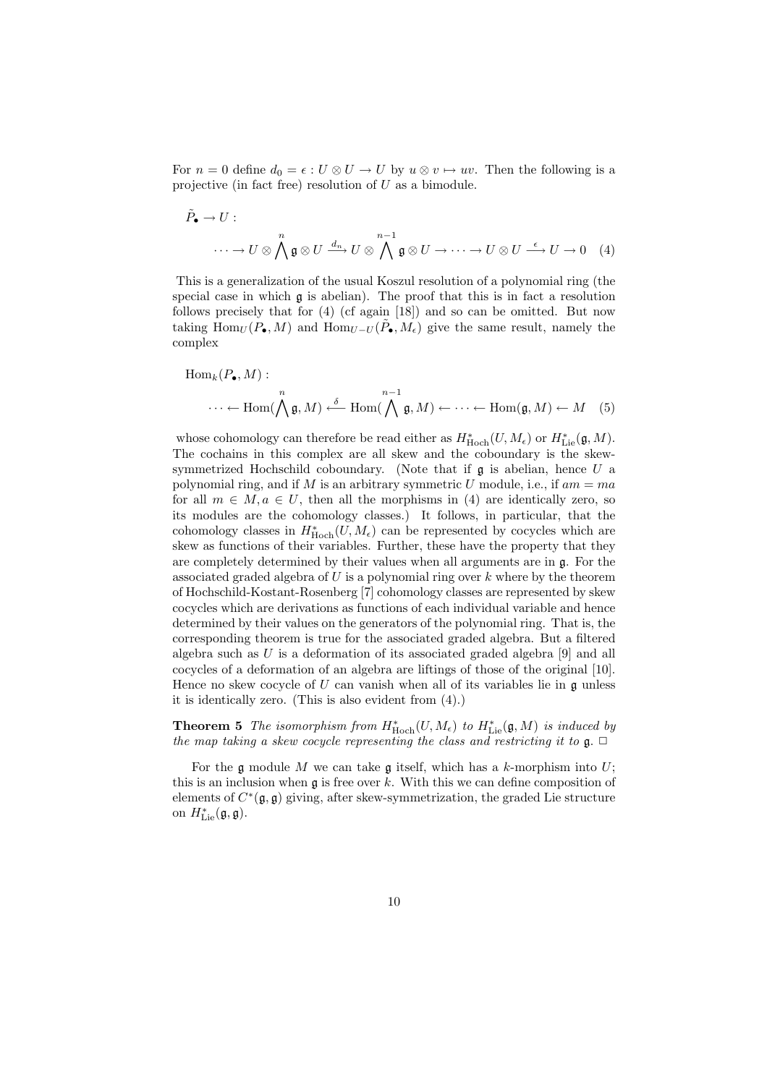For  $n = 0$  define  $d_0 = \epsilon : U \otimes U \to U$  by  $u \otimes v \mapsto uv$ . Then the following is a projective (in fact free) resolution of  $U$  as a bimodule.

$$
\tilde{P}_{\bullet} \to U: \longrightarrow U \otimes \bigwedge^{n} \mathfrak{g} \otimes U \xrightarrow{d_{n}} U \otimes \bigwedge^{n-1} \mathfrak{g} \otimes U \to \cdots \to U \otimes U \xrightarrow{\epsilon} U \to 0 \quad (4)
$$

This is a generalization of the usual Koszul resolution of a polynomial ring (the special case in which g is abelian). The proof that this is in fact a resolution follows precisely that for (4) (cf again [18]) and so can be omitted. But now taking  $\text{Hom}_U(P_\bullet, M)$  and  $\text{Hom}_{U-U}(\tilde{P}_\bullet, M_\epsilon)$  give the same result, namely the complex

$$
\text{Hom}_k(P_{\bullet}, M) : \newline \cdots \leftarrow \text{Hom}(\bigwedge^{n} \mathfrak{g}, M) \xleftarrow{\delta} \text{Hom}(\bigwedge^{n-1} \mathfrak{g}, M) \leftarrow \cdots \leftarrow \text{Hom}(\mathfrak{g}, M) \leftarrow M \quad (5)
$$

whose cohomology can therefore be read either as  $H^*_{\text{Hoch}}(U, M_\epsilon)$  or  $H^*_{\text{Lie}}(\mathfrak{g}, M)$ . The cochains in this complex are all skew and the coboundary is the skewsymmetrized Hochschild coboundary. (Note that if  $\mathfrak g$  is abelian, hence U a polynomial ring, and if M is an arbitrary symmetric U module, i.e., if  $am = ma$ for all  $m \in M, a \in U$ , then all the morphisms in (4) are identically zero, so its modules are the cohomology classes.) It follows, in particular, that the cohomology classes in  $H_{\text{Hoch}}^*(U, M_\epsilon)$  can be represented by cocycles which are skew as functions of their variables. Further, these have the property that they are completely determined by their values when all arguments are in g. For the associated graded algebra of  $U$  is a polynomial ring over  $k$  where by the theorem of Hochschild-Kostant-Rosenberg [7] cohomology classes are represented by skew cocycles which are derivations as functions of each individual variable and hence determined by their values on the generators of the polynomial ring. That is, the corresponding theorem is true for the associated graded algebra. But a filtered algebra such as  $U$  is a deformation of its associated graded algebra [9] and all cocycles of a deformation of an algebra are liftings of those of the original [10]. Hence no skew cocycle of U can vanish when all of its variables lie in  $\mathfrak g$  unless it is identically zero. (This is also evident from (4).)

**Theorem 5** The isomorphism from  $H_{\text{Hoch}}^*(U, M_{\epsilon})$  to  $H_{\text{Lie}}^*(\mathfrak{g}, M)$  is induced by the map taking a skew cocycle representing the class and restricting it to  $\mathfrak{g} \square$ 

For the g module M we can take g itself, which has a k-morphism into  $U$ ; this is an inclusion when  $\mathfrak g$  is free over k. With this we can define composition of elements of  $C^*(\mathfrak{g}, \mathfrak{g})$  giving, after skew-symmetrization, the graded Lie structure on  $H^*_{\text{Lie}}(\mathfrak{g}, \mathfrak{g}).$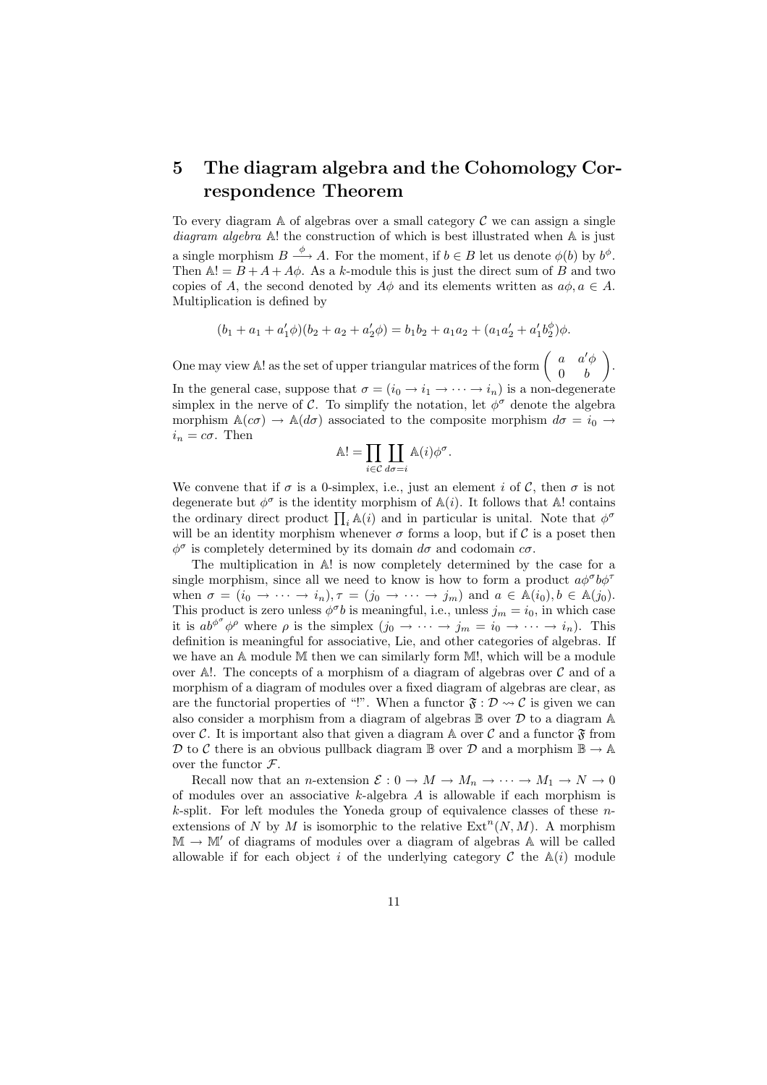## 5 The diagram algebra and the Cohomology Correspondence Theorem

To every diagram  $A$  of algebras over a small category  $C$  we can assign a single diagram algebra A! the construction of which is best illustrated when A is just a single morphism  $B \stackrel{\phi}{\longrightarrow} A$ . For the moment, if  $b \in B$  let us denote  $\phi(b)$  by  $b^{\phi}$ . Then  $\mathbb{A}! = B + A + A\phi$ . As a k-module this is just the direct sum of B and two copies of A, the second denoted by  $A\phi$  and its elements written as  $a\phi, a \in A$ . Multiplication is defined by

$$
(b_1 + a_1 + a'_1 \phi)(b_2 + a_2 + a'_2 \phi) = b_1 b_2 + a_1 a_2 + (a_1 a'_2 + a'_1 b'_2) \phi.
$$

 $\mathbf{r}$ 

One may view A! as the set of upper triangular matrices of the form  $\begin{pmatrix} a & a' \phi \\ 0 & b \end{pmatrix}$  $0 \quad b$ . In the general case, suppose that  $\sigma = (i_0 \rightarrow i_1 \rightarrow \cdots \rightarrow i_n)$  is a non-degenerate simplex in the nerve of C. To simplify the notation, let  $\phi^{\sigma}$  denote the algebra morphism  $\mathbb{A}(c\sigma) \to \mathbb{A}(d\sigma)$  associated to the composite morphism  $d\sigma = i_0 \to$  $i_n = c\sigma$ . Then  $\overline{r}$ 

$$
\mathbb{A}! = \prod_{i \in \mathcal{C}} \prod_{d\sigma = i} \mathbb{A}(i) \phi^{\sigma}.
$$

We convene that if  $\sigma$  is a 0-simplex, i.e., just an element i of C, then  $\sigma$  is not degenerate but  $\phi^{\sigma}$  is the identity morphism of  $\mathbb{A}(i)$ . It follows that  $\mathbb{A}!$  contains degenerate but  $\varphi$ <sup>-</sup> is the dentity morphism of  $\mathbb{A}(i)$ . It follows that  $\mathbb{A}$ : contains the ordinary direct product  $\prod_i \mathbb{A}(i)$  and in particular is unital. Note that  $\phi^{\sigma}$ will be an identity morphism whenever  $\sigma$  forms a loop, but if C is a poset then  $\phi^{\sigma}$  is completely determined by its domain  $d\sigma$  and codomain  $c\sigma$ .

The multiplication in A! is now completely determined by the case for a single morphism, since all we need to know is how to form a product  $a\phi^{\sigma}b\phi^{\tau}$ when  $\sigma = (i_0 \to \cdots \to i_n), \tau = (j_0 \to \cdots \to j_m)$  and  $a \in \mathbb{A}(i_0), b \in \mathbb{A}(j_0)$ . This product is zero unless  $\phi^{\sigma}b$  is meaningful, i.e., unless  $j_m = i_0$ , in which case it is  $ab^{\phi^{\sigma}}\phi^{\rho}$  where  $\rho$  is the simplex  $(j_0 \rightarrow \cdots \rightarrow j_m = i_0 \rightarrow \cdots \rightarrow i_n)$ . This definition is meaningful for associative, Lie, and other categories of algebras. If we have an A module M then we can similarly form M!, which will be a module over A!. The concepts of a morphism of a diagram of algebras over  $\mathcal C$  and of a morphism of a diagram of modules over a fixed diagram of algebras are clear, as are the functorial properties of "!". When a functor  $\mathfrak{F} : \mathcal{D} \rightarrow \mathcal{C}$  is given we can also consider a morphism from a diagram of algebras  $\mathbb B$  over  $\mathcal D$  to a diagram  $\mathbb A$ over C. It is important also that given a diagram  $\mathbb A$  over C and a functor  $\mathfrak F$  from D to C there is an obvious pullback diagram B over D and a morphism  $\mathbb{B} \to \mathbb{A}$ over the functor  $\mathcal{F}$ .

Recall now that an n-extension  $\mathcal{E}: 0 \to M \to M_n \to \cdots \to M_1 \to N \to 0$ of modules over an associative  $k$ -algebra  $A$  is allowable if each morphism is  $k$ -split. For left modules the Yoneda group of equivalence classes of these  $n$ extensions of N by M is isomorphic to the relative  $\text{Ext}^n(N,M)$ . A morphism  $\mathbb{M} \to \mathbb{M}'$  of diagrams of modules over a diagram of algebras A will be called allowable if for each object i of the underlying category  $\mathcal C$  the  $\mathbb A(i)$  module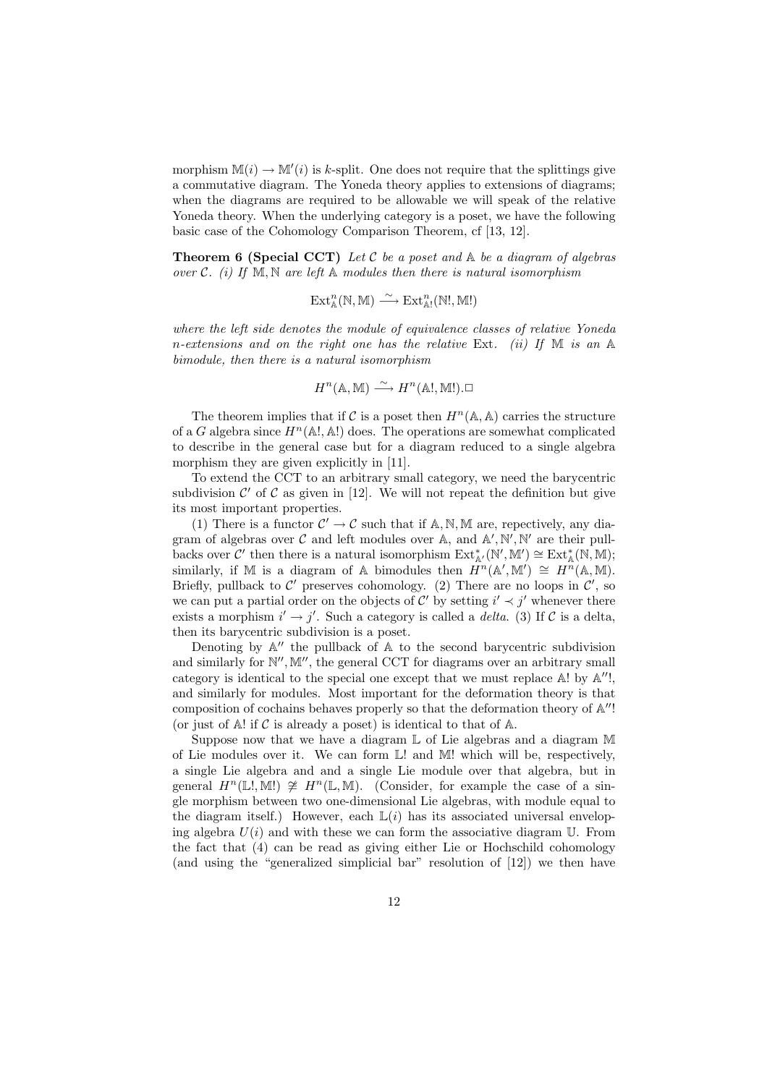morphism  $\mathbb{M}(i) \to \mathbb{M}'(i)$  is k-split. One does not require that the splittings give a commutative diagram. The Yoneda theory applies to extensions of diagrams; when the diagrams are required to be allowable we will speak of the relative Yoneda theory. When the underlying category is a poset, we have the following basic case of the Cohomology Comparison Theorem, cf [13, 12].

**Theorem 6 (Special CCT)** Let C be a poset and  $\mathbb{A}$  be a diagram of algebras over C. (i) If  $M, N$  are left A modules then there is natural isomorphism

$$
\operatorname{Ext}\nolimits^n_{\mathbb{A}}(\mathbb{N},\mathbb{M}) \stackrel{\sim}{\longrightarrow} \operatorname{Ext}\nolimits^n_{\mathbb{A}!}(\mathbb{N}!,\mathbb{M}!)
$$

where the left side denotes the module of equivalence classes of relative Yoneda n-extensions and on the right one has the relative Ext. (ii) If  $M$  is an  $A$ bimodule, then there is a natural isomorphism

$$
H^n(\mathbb{A}, \mathbb{M}) \xrightarrow{\sim} H^n(\mathbb{A}!, \mathbb{M}!). \square
$$

The theorem implies that if C is a poset then  $H^n(\mathbb{A}, \mathbb{A})$  carries the structure of a G algebra since  $H^n(\mathbb{A}^1, \mathbb{A}^1)$  does. The operations are somewhat complicated to describe in the general case but for a diagram reduced to a single algebra morphism they are given explicitly in [11].

To extend the CCT to an arbitrary small category, we need the barycentric subdivision  $\mathcal{C}'$  of  $\mathcal C$  as given in [12]. We will not repeat the definition but give its most important properties.

(1) There is a functor  $C' \to C$  such that if A, N, M are, repectively, any diagram of algebras over  $\mathcal C$  and left modules over A, and  $\mathbb A', \mathbb N', \mathbb N'$  are their pullbacks over  $\mathcal{C}'$  then there is a natural isomorphism  $\text{Ext}_{\mathbb{A}'}^*(\mathbb{N}', \mathbb{M}') \cong \text{Ext}_{\mathbb{A}}^*(\mathbb{N}, \mathbb{M});$ similarly, if M is a diagram of A bimodules then  $\hat{H}^n(\mathbb{A}', \mathbb{M}') \cong H^n(\mathbb{A}, \mathbb{M})$ . Briefly, pullback to  $\mathcal{C}'$  preserves cohomology. (2) There are no loops in  $\mathcal{C}'$ , so we can put a partial order on the objects of C' by setting  $i' \prec j'$  whenever there exists a morphism  $i' \rightarrow j'$ . Such a category is called a *delta*. (3) If C is a delta, then its barycentric subdivision is a poset.

Denoting by  $\mathbb{A}''$  the pullback of  $\mathbb{A}$  to the second barycentric subdivision and similarly for  $\mathbb{N}^{\prime\prime}$ ,  $\mathbb{M}^{\prime\prime}$ , the general CCT for diagrams over an arbitrary small category is identical to the special one except that we must replace  $A!$  by  $A''!$ , and similarly for modules. Most important for the deformation theory is that composition of cochains behaves properly so that the deformation theory of  $\mathbb{A}''$ ! (or just of  $A!$  if  $C$  is already a poset) is identical to that of  $A$ .

Suppose now that we have a diagram L of Lie algebras and a diagram M of Lie modules over it. We can form  $\mathbb{L}!$  and  $\mathbb{M}!$  which will be, respectively, a single Lie algebra and and a single Lie module over that algebra, but in general  $H^n(\mathbb{L}^1, \mathbb{M}^1) \ncong H^n(\mathbb{L}, \mathbb{M})$ . (Consider, for example the case of a single morphism between two one-dimensional Lie algebras, with module equal to the diagram itself.) However, each  $\mathbb{L}(i)$  has its associated universal enveloping algebra  $U(i)$  and with these we can form the associative diagram U. From the fact that (4) can be read as giving either Lie or Hochschild cohomology (and using the "generalized simplicial bar" resolution of [12]) we then have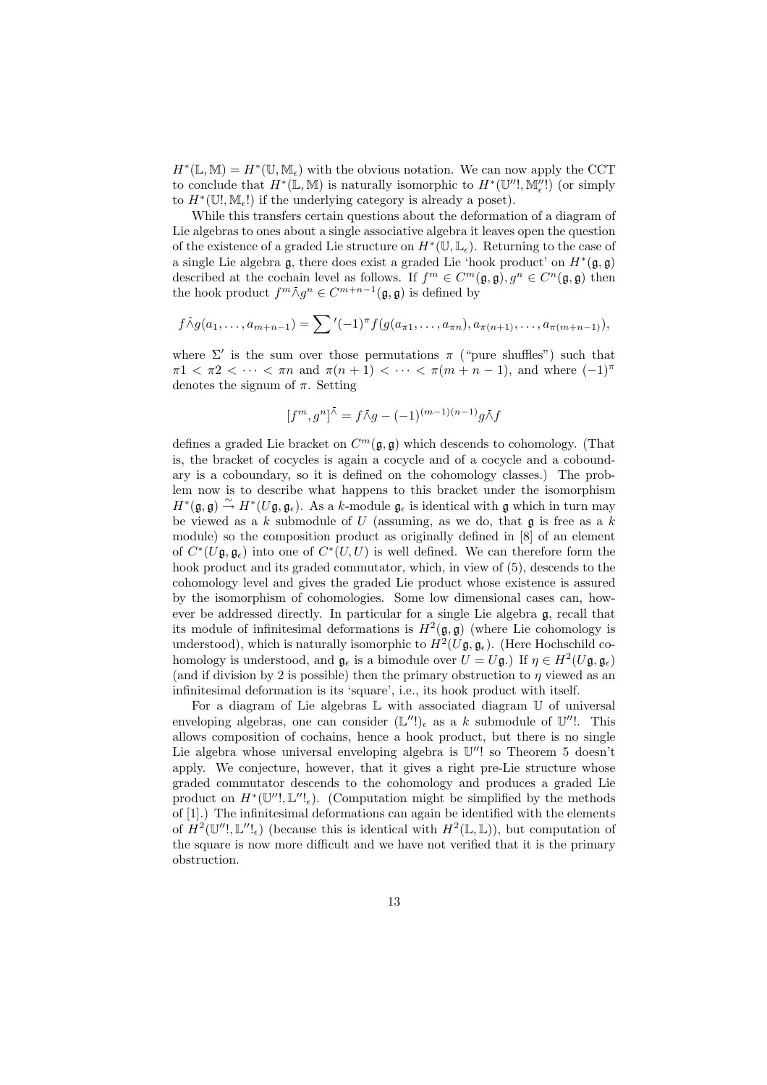$H^*(\mathbb{L}, \mathbb{M}) = H^*(\mathbb{U}, \mathbb{M}_{\epsilon})$  with the obvious notation. We can now apply the CCT to conclude that  $H^*(\mathbb{L}, \mathbb{M})$  is naturally isomorphic to  $H^*(\mathbb{U}'', \mathbb{M}''_e!)$  (or simply to  $H^*(\mathbb{U}^{\prime}, \mathbb{M}_{\epsilon}!)$  if the underlying category is already a poset).

While this transfers certain questions about the deformation of a diagram of Lie algebras to ones about a single associative algebra it leaves open the question of the existence of a graded Lie structure on  $H^*(\mathbb{U}, \mathbb{L}_{\epsilon})$ . Returning to the case of a single Lie algebra  $\mathfrak{g}$ , there does exist a graded Lie 'hook product' on  $H^*(\mathfrak{g}, \mathfrak{g})$ described at the cochain level as follows. If  $f^m \in C^m(\mathfrak{g}, \mathfrak{g}), g^n \in C^n(\mathfrak{g}, \mathfrak{g})$  then the hook product  $f^m \overline{\wedge} g^n \in C^{m+n-1}(\mathfrak{g}, \mathfrak{g})$  is defined by

$$
f \bar{\wedge} g(a_1, \ldots, a_{m+n-1}) = \sum' (-1)^{\pi} f(g(a_{\pi 1}, \ldots, a_{\pi n}), a_{\pi(n+1)}, \ldots, a_{\pi(m+n-1)}),
$$

where  $\Sigma'$  is the sum over those permutations  $\pi$  ("pure shuffles") such that  $\pi 1 < \pi 2 < \cdots < \pi n$  and  $\pi (n+1) < \cdots < \pi (m+n-1)$ , and where  $(-1)^{\pi}$ denotes the signum of  $\pi$ . Setting

$$
[f^m, g^n]^{\bar{\wedge}} = f\bar{\wedge}g - (-1)^{(m-1)(n-1)}g\bar{\wedge}f
$$

defines a graded Lie bracket on  $C^m(\mathfrak{g}, \mathfrak{g})$  which descends to cohomology. (That is, the bracket of cocycles is again a cocycle and of a cocycle and a coboundary is a coboundary, so it is defined on the cohomology classes.) The problem now is to describe what happens to this bracket under the isomorphism  $H^*(\mathfrak{g}, \mathfrak{g}) \stackrel{\sim}{\rightarrow} H^*(U\mathfrak{g}, \mathfrak{g}_{\epsilon}).$  As a k-module  $\mathfrak{g}_{\epsilon}$  is identical with g which in turn may be viewed as a  $k$  submodule of  $U$  (assuming, as we do, that  $\mathfrak g$  is free as a  $k$ module) so the composition product as originally defined in [8] of an element of  $C^*(U\mathfrak{g}, \mathfrak{g}_{\epsilon})$  into one of  $C^*(U, U)$  is well defined. We can therefore form the hook product and its graded commutator, which, in view of (5), descends to the cohomology level and gives the graded Lie product whose existence is assured by the isomorphism of cohomologies. Some low dimensional cases can, however be addressed directly. In particular for a single Lie algebra g, recall that its module of infinitesimal deformations is  $H^2(\mathfrak{g}, \mathfrak{g})$  (where Lie cohomology is understood), which is naturally isomorphic to  $H^2(U\mathfrak{g}, \mathfrak{g}_{\epsilon})$ . (Here Hochschild cohomology is understood, and  $\mathfrak{g}_{\epsilon}$  is a bimodule over  $U = U\mathfrak{g}$ .) If  $\eta \in H^2(U\mathfrak{g}, \mathfrak{g}_{\epsilon})$ (and if division by 2 is possible) then the primary obstruction to  $\eta$  viewed as an infinitesimal deformation is its 'square', i.e., its hook product with itself.

For a diagram of Lie algebras  $\mathbb L$  with associated diagram  $\mathbb U$  of universal enveloping algebras, one can consider  $(\mathbb{L}^{\prime\prime})_{\epsilon}$  as a k submodule of  $\mathbb{U}^{\prime\prime}$ !. This allows composition of cochains, hence a hook product, but there is no single Lie algebra whose universal enveloping algebra is  $\mathbb{U}''!$  so Theorem 5 doesn't apply. We conjecture, however, that it gives a right pre-Lie structure whose graded commutator descends to the cohomology and produces a graded Lie product on  $H^*(\mathbb{U}''!, \mathbb{L}'';_{\epsilon})$ . (Computation might be simplified by the methods of [1].) The infinitesimal deformations can again be identified with the elements of  $H^2(\mathbb{U}''', \mathbb{L}'',_{\epsilon})$  (because this is identical with  $H^2(\mathbb{L}, \mathbb{L})$ ), but computation of the square is now more difficult and we have not verified that it is the primary obstruction.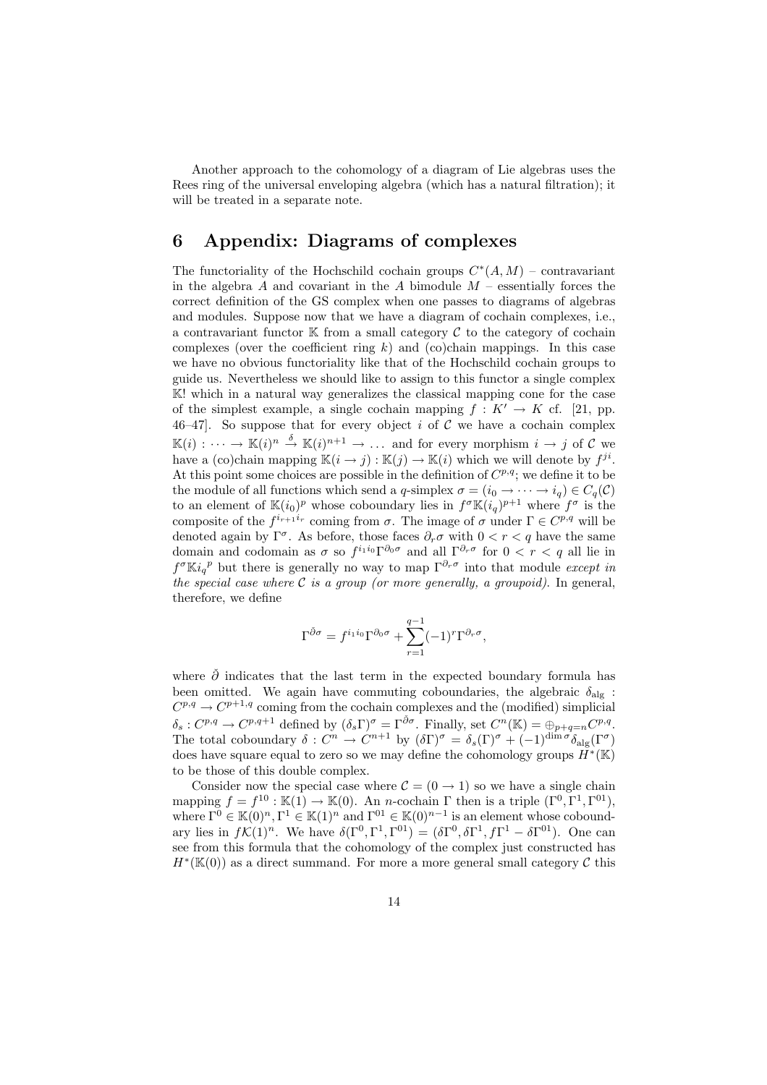Another approach to the cohomology of a diagram of Lie algebras uses the Rees ring of the universal enveloping algebra (which has a natural filtration); it will be treated in a separate note.

### 6 Appendix: Diagrams of complexes

The functoriality of the Hochschild cochain groups  $C^*(A, M)$  – contravariant in the algebra A and covariant in the A bimodule  $M$  – essentially forces the correct definition of the GS complex when one passes to diagrams of algebras and modules. Suppose now that we have a diagram of cochain complexes, i.e., a contravariant functor  $\mathbb K$  from a small category  $\mathcal C$  to the category of cochain complexes (over the coefficient ring  $k$ ) and (co)chain mappings. In this case we have no obvious functoriality like that of the Hochschild cochain groups to guide us. Nevertheless we should like to assign to this functor a single complex K! which in a natural way generalizes the classical mapping cone for the case of the simplest example, a single cochain mapping  $f: K' \to K$  cf. [21, pp. 46–47]. So suppose that for every object i of  $\mathcal C$  we have a cochain complex  $\mathbb{K}(i): \cdots \to \mathbb{K}(i)^n \stackrel{\delta}{\to} \mathbb{K}(i)^{n+1} \to \ldots$  and for every morphism  $i \to j$  of C we have a (co)chain mapping  $\mathbb{K}(i \to j): \mathbb{K}(j) \to \mathbb{K}(i)$  which we will denote by  $f^{ji}$ . At this point some choices are possible in the definition of  $C^{p,q}$ ; we define it to be the module of all functions which send a q-simplex  $\sigma = (i_0 \to \cdots \to i_q) \in C_q(\mathcal{C})$ to an element of  $\mathbb{K}(i_0)^p$  whose coboundary lies in  $f^{\sigma}\mathbb{K}(i_q)^{p+1}$  where  $f^{\sigma}$  is the composite of the  $f^{i_{r+1}i_r}$  coming from  $\sigma$ . The image of  $\sigma$  under  $\Gamma \in C^{p,q}$  will be denoted again by  $\Gamma^{\sigma}$ . As before, those faces  $\partial_r \sigma$  with  $0 < r < q$  have the same domain and codomain as  $\sigma$  so  $f^{i_1 i_0} \Gamma^{\partial_0 \sigma}$  and all  $\Gamma^{\partial_r \sigma}$  for  $0 < r < q$  all lie in  $f^{\sigma}$ Ki<sub>q</sub><sup>p</sup> but there is generally no way to map  $\Gamma^{\partial_r \sigma}$  into that module *except in* the special case where  $\mathcal C$  is a group (or more generally, a groupoid). In general, therefore, we define

$$
\Gamma^{\check{\partial}\sigma} = f^{i_1 i_0} \Gamma^{\partial_0 \sigma} + \sum_{r=1}^{q-1} (-1)^r \Gamma^{\partial_r \sigma},
$$

where  $\check{\partial}$  indicates that the last term in the expected boundary formula has been omitted. We again have commuting coboundaries, the algebraic  $\delta_{\text{alg}}$ :  $C^{p,q} \to C^{p+1,q}$  coming from the cochain complexes and the (modified) simplicial  $\delta_s: C^{p,q} \to C^{p,q+1}$  defined by  $(\delta_s \Gamma)^\sigma = \Gamma^{\check{\partial}\sigma}$ . Finally, set  $C^n(\mathbb{K}) = \bigoplus_{p+q=n} C^{p,q}$ . The total coboundary  $\delta: C^n \to C^{n+1}$  by  $(\delta \Gamma)^\sigma = \delta_s(\Gamma)^\sigma + (-1)^{\dim \sigma} \delta_{\text{alg}}(\Gamma^\sigma)$ does have square equal to zero so we may define the cohomology groups  $H^*(\mathbb{K})$ to be those of this double complex.

Consider now the special case where  $\mathcal{C} = (0 \rightarrow 1)$  so we have a single chain mapping  $f = f^{10} : \mathbb{K}(1) \to \mathbb{K}(0)$ . An *n*-cochain  $\Gamma$  then is a triple  $(\Gamma^0, \Gamma^1, \Gamma^{01})$ , where  $\Gamma^0 \in \mathbb{K}(0)^n, \Gamma^1 \in \mathbb{K}(1)^n$  and  $\Gamma^{01} \in \mathbb{K}(0)^{n-1}$  is an element whose coboundary lies in  $f\mathcal{K}(1)^n$ . We have  $\delta(\Gamma^0, \Gamma^1, \Gamma^{01}) = (\delta \Gamma^0, \delta \Gamma^1, f\Gamma^1 - \delta \Gamma^{01})$ . One can see from this formula that the cohomology of the complex just constructed has  $H^*(\mathbb{K}(0))$  as a direct summand. For more a more general small category  $\mathcal C$  this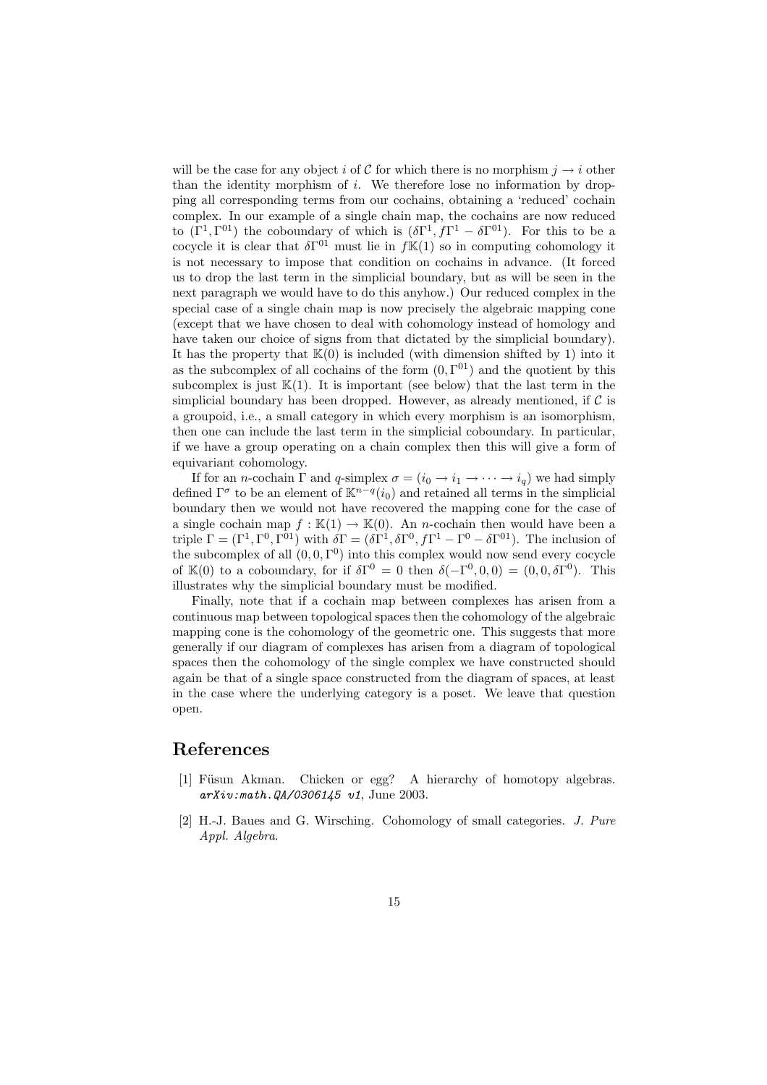will be the case for any object i of C for which there is no morphism  $j \rightarrow i$  other than the identity morphism of  $i$ . We therefore lose no information by dropping all corresponding terms from our cochains, obtaining a 'reduced' cochain complex. In our example of a single chain map, the cochains are now reduced to  $(\Gamma^1, \Gamma^{01})$  the coboundary of which is  $(\delta \Gamma^1, f\Gamma^1 - \delta \Gamma^{01})$ . For this to be a cocycle it is clear that  $\delta\Gamma^{01}$  must lie in  $f\mathbb{K}(1)$  so in computing cohomology it is not necessary to impose that condition on cochains in advance. (It forced us to drop the last term in the simplicial boundary, but as will be seen in the next paragraph we would have to do this anyhow.) Our reduced complex in the special case of a single chain map is now precisely the algebraic mapping cone (except that we have chosen to deal with cohomology instead of homology and have taken our choice of signs from that dictated by the simplicial boundary). It has the property that  $K(0)$  is included (with dimension shifted by 1) into it as the subcomplex of all cochains of the form  $(0, \Gamma^{01})$  and the quotient by this subcomplex is just  $\mathbb{K}(1)$ . It is important (see below) that the last term in the simplicial boundary has been dropped. However, as already mentioned, if  $\mathcal C$  is a groupoid, i.e., a small category in which every morphism is an isomorphism, then one can include the last term in the simplicial coboundary. In particular, if we have a group operating on a chain complex then this will give a form of equivariant cohomology.

If for an *n*-cochain  $\Gamma$  and *q*-simplex  $\sigma = (i_0 \rightarrow i_1 \rightarrow \cdots \rightarrow i_q)$  we had simply defined  $\Gamma^{\sigma}$  to be an element of  $\mathbb{K}^{n-q}(i_0)$  and retained all terms in the simplicial boundary then we would not have recovered the mapping cone for the case of a single cochain map  $f : \mathbb{K}(1) \to \mathbb{K}(0)$ . An *n*-cochain then would have been a triple  $\Gamma = (\Gamma^1, \Gamma^0, \Gamma^{01})$  with  $\delta \Gamma = (\delta \Gamma^1, \delta \Gamma^0, f\Gamma^1 - \Gamma^0 - \delta \Gamma^{01})$ . The inclusion of the subcomplex of all  $(0,0,\Gamma^0)$  into this complex would now send every cocycle of K(0) to a coboundary, for if  $\delta\Gamma^0 = 0$  then  $\delta(-\Gamma^0, 0, 0) = (0, 0, \delta\Gamma^0)$ . This illustrates why the simplicial boundary must be modified.

Finally, note that if a cochain map between complexes has arisen from a continuous map between topological spaces then the cohomology of the algebraic mapping cone is the cohomology of the geometric one. This suggests that more generally if our diagram of complexes has arisen from a diagram of topological spaces then the cohomology of the single complex we have constructed should again be that of a single space constructed from the diagram of spaces, at least in the case where the underlying category is a poset. We leave that question open.

#### References

- [1] Füsun Akman. Chicken or egg? A hierarchy of homotopy algebras. arXiv:math.QA/0306145 v1, June 2003.
- [2] H.-J. Baues and G. Wirsching. Cohomology of small categories. J. Pure Appl. Algebra.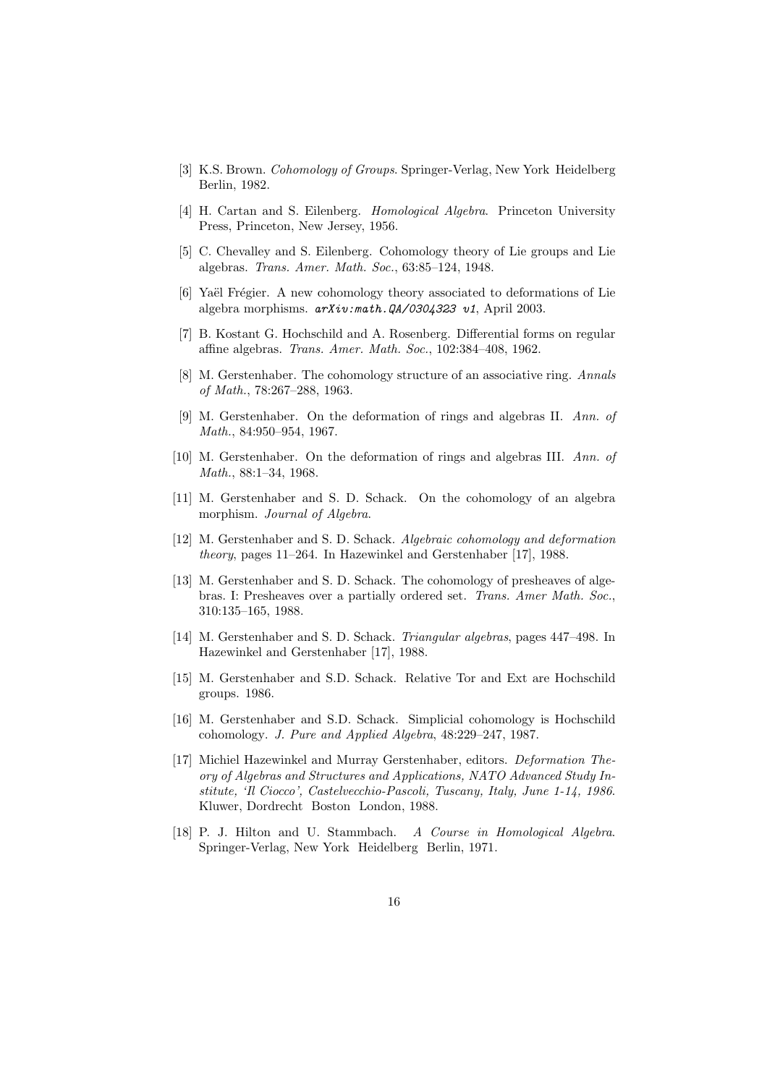- [3] K.S. Brown. Cohomology of Groups. Springer-Verlag, New York Heidelberg Berlin, 1982.
- [4] H. Cartan and S. Eilenberg. Homological Algebra. Princeton University Press, Princeton, New Jersey, 1956.
- [5] C. Chevalley and S. Eilenberg. Cohomology theory of Lie groups and Lie algebras. Trans. Amer. Math. Soc., 63:85–124, 1948.
- [6] Yaël Frégier. A new cohomology theory associated to deformations of Lie algebra morphisms.  $arXiv:math.QA/0304323 v1$ , April 2003.
- [7] B. Kostant G. Hochschild and A. Rosenberg. Differential forms on regular affine algebras. Trans. Amer. Math. Soc., 102:384–408, 1962.
- [8] M. Gerstenhaber. The cohomology structure of an associative ring. Annals of Math., 78:267–288, 1963.
- [9] M. Gerstenhaber. On the deformation of rings and algebras II. Ann. of Math., 84:950–954, 1967.
- [10] M. Gerstenhaber. On the deformation of rings and algebras III. Ann. of Math., 88:1–34, 1968.
- [11] M. Gerstenhaber and S. D. Schack. On the cohomology of an algebra morphism. Journal of Algebra.
- [12] M. Gerstenhaber and S. D. Schack. Algebraic cohomology and deformation theory, pages 11–264. In Hazewinkel and Gerstenhaber [17], 1988.
- [13] M. Gerstenhaber and S. D. Schack. The cohomology of presheaves of algebras. I: Presheaves over a partially ordered set. Trans. Amer Math. Soc., 310:135–165, 1988.
- [14] M. Gerstenhaber and S. D. Schack. Triangular algebras, pages 447–498. In Hazewinkel and Gerstenhaber [17], 1988.
- [15] M. Gerstenhaber and S.D. Schack. Relative Tor and Ext are Hochschild groups. 1986.
- [16] M. Gerstenhaber and S.D. Schack. Simplicial cohomology is Hochschild cohomology. J. Pure and Applied Algebra, 48:229–247, 1987.
- [17] Michiel Hazewinkel and Murray Gerstenhaber, editors. Deformation Theory of Algebras and Structures and Applications, NATO Advanced Study Institute, 'Il Ciocco', Castelvecchio-Pascoli, Tuscany, Italy, June 1-14, 1986. Kluwer, Dordrecht Boston London, 1988.
- [18] P. J. Hilton and U. Stammbach. A Course in Homological Algebra. Springer-Verlag, New York Heidelberg Berlin, 1971.